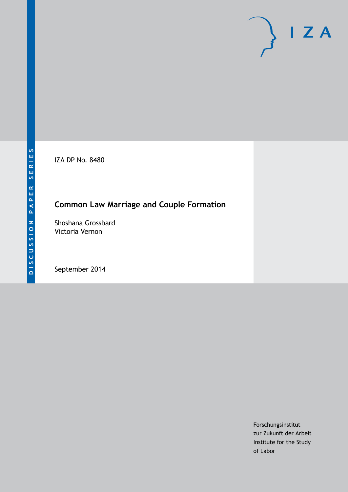IZA DP No. 8480

# **Common Law Marriage and Couple Formation**

Shoshana Grossbard Victoria Vernon

September 2014

Forschungsinstitut zur Zukunft der Arbeit Institute for the Study of Labor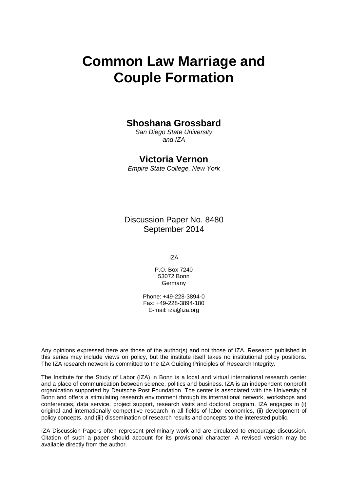# **Common Law Marriage and Couple Formation**

### **Shoshana Grossbard**

*San Diego State University and IZA*

### **Victoria Vernon**

*Empire State College, New York*

Discussion Paper No. 8480 September 2014

IZA

P.O. Box 7240 53072 Bonn Germany

Phone: +49-228-3894-0 Fax: +49-228-3894-180 E-mail: [iza@iza.org](mailto:iza@iza.org)

Any opinions expressed here are those of the author(s) and not those of IZA. Research published in this series may include views on policy, but the institute itself takes no institutional policy positions. The IZA research network is committed to the IZA Guiding Principles of Research Integrity.

The Institute for the Study of Labor (IZA) in Bonn is a local and virtual international research center and a place of communication between science, politics and business. IZA is an independent nonprofit organization supported by Deutsche Post Foundation. The center is associated with the University of Bonn and offers a stimulating research environment through its international network, workshops and conferences, data service, project support, research visits and doctoral program. IZA engages in (i) original and internationally competitive research in all fields of labor economics, (ii) development of policy concepts, and (iii) dissemination of research results and concepts to the interested public.

IZA Discussion Papers often represent preliminary work and are circulated to encourage discussion. Citation of such a paper should account for its provisional character. A revised version may be available directly from the author.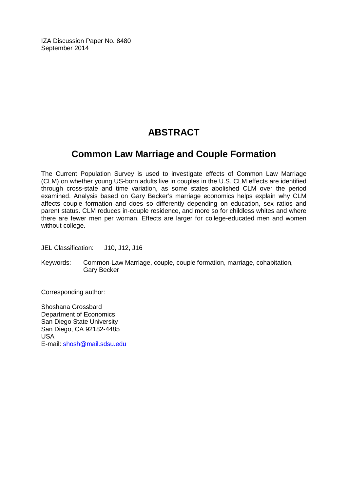IZA Discussion Paper No. 8480 September 2014

# **ABSTRACT**

## **Common Law Marriage and Couple Formation**

The Current Population Survey is used to investigate effects of Common Law Marriage (CLM) on whether young US-born adults live in couples in the U.S. CLM effects are identified through cross-state and time variation, as some states abolished CLM over the period examined. Analysis based on Gary Becker's marriage economics helps explain why CLM affects couple formation and does so differently depending on education, sex ratios and parent status. CLM reduces in-couple residence, and more so for childless whites and where there are fewer men per woman. Effects are larger for college-educated men and women without college.

JEL Classification: J10, J12, J16

Keywords: Common-Law Marriage, couple, couple formation, marriage, cohabitation, Gary Becker

Corresponding author:

Shoshana Grossbard Department of Economics San Diego State University San Diego, CA 92182-4485 USA E-mail: [shosh@mail.sdsu.edu](mailto:shosh@mail.sdsu.edu)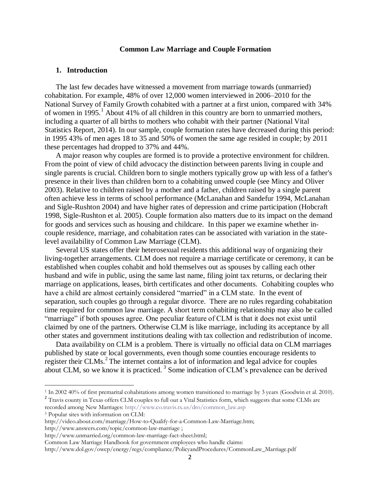#### **Common Law Marriage and Couple Formation**

#### **1. Introduction**

The last few decades have witnessed a movement from marriage towards (unmarried) cohabitation. For example, 48% of over 12,000 women interviewed in 2006–2010 for the National Survey of Family Growth cohabited with a partner at a first union, compared with 34% of women in 1995.<sup>1</sup> About 41% of all children in this country are born to unmarried mothers, including a quarter of all births to mothers who cohabit with their partner (National Vital Statistics Report, 2014). In our sample, couple formation rates have decreased during this period: in 1995 43% of men ages 18 to 35 and 50% of women the same age resided in couple; by 2011 these percentages had dropped to 37% and 44%.

A major reason why couples are formed is to provide a protective environment for children. From the point of view of child advocacy the distinction between parents living in couple and single parents is crucial. Children born to single mothers typically grow up with less of a father's presence in their lives than children born to a cohabiting unwed couple (see Mincy and Oliver 2003). Relative to children raised by a mother and a father, children raised by a single parent often achieve less in terms of school performance (McLanahan and Sandefur 1994, McLanahan and Sigle-Rushton 2004) and have higher rates of depression and crime participation (Hobcraft 1998, Sigle-Rushton et al. 2005). Couple formation also matters due to its impact on the demand for goods and services such as housing and childcare. In this paper we examine whether incouple residence, marriage, and cohabitation rates can be associated with variation in the statelevel availability of Common Law Marriage (CLM).

Several US states offer their heterosexual residents this additional way of organizing their living-together arrangements. CLM does not require a marriage certificate or ceremony, it can be established when couples cohabit and hold themselves out as spouses by calling each other husband and wife in public, using the same last name, filing joint tax returns, or declaring their marriage on applications, leases, birth certificates and other documents. Cohabiting couples who have a child are almost certainly considered "married" in a CLM state. In the event of separation, such couples go through a regular divorce. There are no rules regarding cohabitation time required for common law marriage. A short term cohabiting relationship may also be called "marriage" if both spouses agree. One peculiar feature of CLM is that it does not exist until claimed by one of the partners. Otherwise CLM is like marriage, including its acceptance by all other states and government institutions dealing with tax collection and redistribution of income.

Data availability on CLM is a problem. There is virtually no official data on CLM marriages published by state or local governments, even though some counties encourage residents to register their CLMs.<sup>2</sup> The internet contains a lot of information and legal advice for couples about CLM, so we know it is practiced.<sup>3</sup> Some indication of CLM's prevalence can be derived

<sup>2</sup> Travis county in Texas offers CLM couples to full out a Vital Statistics form, which suggests that some CLMs are recorded among New Marriages: [http://www.co.travis.tx.us/dro/common\\_law.asp](http://www.co.travis.tx.us/dro/common_law.asp)

 $\overline{a}$ 

<http://www.answers.com/topic/common-law-marriage> ;

Common Law Marriage Handbook for government employees who handle claims:

<sup>&</sup>lt;sup>1</sup> In 2002 40% of first premarital cohabitations among women transitioned to marriage by 3 years (Goodwin et al. 2010).

<sup>3</sup> Popular sites with information on CLM:

[http://video.about.com/marriage/How-to-Qualify-for-a-Common-Law-Marriage.htm;](http://video.about.com/marriage/How-to-Qualify-for-a-Common-Law-Marriage.htm) 

[http://www.unmarried.org/common-law-marriage-fact-sheet.html;](http://www.unmarried.org/common-law-marriage-fact-sheet.html)

[http://www.dol.gov/owcp/energy/regs/compliance/PolicyandProcedures/CommonLaw\\_Marriage.pdf](http://www.dol.gov/owcp/energy/regs/compliance/PolicyandProcedures/CommonLaw_Marriage.pdf)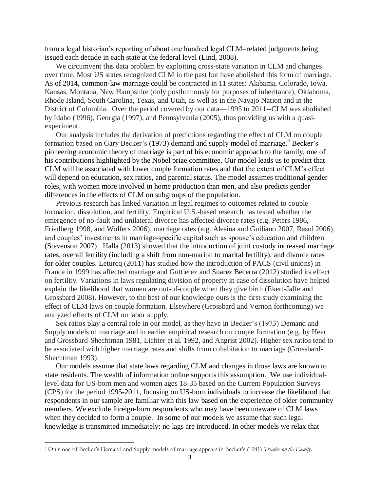from a legal historian's reporting of about one hundred legal CLM–related judgments being issued each decade in each state at the federal level (Lind, 2008).

We circumvent this data problem by exploiting cross-state variation in CLM and changes over time. Most US states recognized CLM in the past but have abolished this form of marriage. As of 2014, common-law marriage could be contracted in 11 states: Alabama, Colorado, Iowa, Kansas, Montana, New Hampshire (only posthumously for purposes of inheritance), Oklahoma, Rhode Island, South Carolina, Texas, and Utah, as well as in the Navajo Nation and in the District of Columbia. Over the period covered by our data—1995 to 2011--CLM was abolished by Idaho (1996), Georgia (1997), and Pennsylvania (2005), thus providing us with a quasiexperiment.

Our analysis includes the derivation of predictions regarding the effect of CLM on couple formation based on Gary Becker's (1973) demand and supply model of marriage.<sup>4</sup> Becker's pioneering economic theory of marriage is part of his economic approach to the family, one of his contributions highlighted by the Nobel prize committee. Our model leads us to predict that CLM will be associated with lower couple formation rates and that the extent of CLM's effect will depend on education, sex ratios, and parental status. The model assumes traditional gender roles, with women more involved in home production than men, and also predicts gender differences in the effects of CLM on subgroups of the population.

Previous research has linked variation in legal regimes to outcomes related to couple formation, dissolution, and fertility. Empirical U.S.-based research has tested whether the emergence of no-fault and unilateral divorce has affected divorce rates (e.g. Peters 1986, Friedberg 1998, and Wolfers 2006), marriage rates (e.g. Alesina and Guiliano 2007, Rasul 2006), and couples' investments in marriage-specific capital such as spouse's education and children (Stevenson 2007). Halla (2013) showed that the introduction of joint custody increased marriage rates, overall fertility (including a shift from non-marital to marital fertility), and divorce rates for older couples. Leturcq (2011) has studied how the introduction of PACS (civil unions) in France in 1999 has affected marriage and Guttierez and Suarez Becerra (2012) studied its effect on fertility. Variations in laws regulating division of property in case of dissolution have helped explain the likelihood that women are out-of-couple when they give birth (Ekert-Jaffe and Grossbard 2008). However, to the best of our knowledge ours is the first study examining the effect of CLM laws on couple formation. Elsewhere (Grossbard and Vernon forthcoming) we analyzed effects of CLM on labor supply.

Sex ratios play a central role in our model, as they have in Becker's (1973) Demand and Supply models of marriage and in earlier empirical research on couple formation (e.g. by Heer and Grossbard-Shechtman 1981, Lichter et al. 1992, and Angrist 2002). Higher sex ratios tend to be associated with higher marriage rates and shifts from cohabitation to marriage (Grossbard-Shechtman 1993).

Our models assume that state laws regarding CLM and changes in those laws are known to state residents. The wealth of information online supports this assumption. We use individuallevel data for US-born men and women ages 18-35 based on the Current Population Surveys (CPS) for the period 1995-2011, focusing on US-born individuals to increase the likelihood that respondents in our sample are familiar with this law based on the experience of older community members. We exclude foreign-born respondents who may have been unaware of CLM laws when they decided to form a couple. In some of our models we assume that such legal knowledge is transmitted immediately: no lags are introduced. In other models we relax that

 $\overline{\phantom{a}}$ 

<sup>4</sup> Only one of Becker's Demand and Supply models of marriage appears in Becker's (1981) *Treatise on the Family*.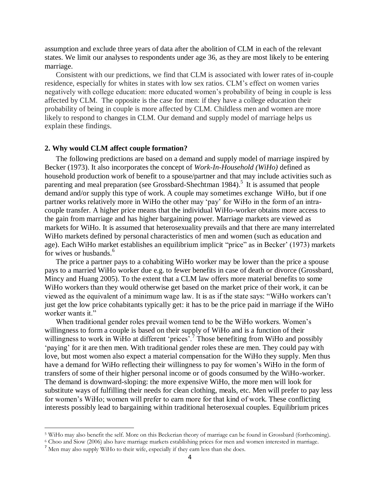assumption and exclude three years of data after the abolition of CLM in each of the relevant states. We limit our analyses to respondents under age 36, as they are most likely to be entering marriage.

Consistent with our predictions, we find that CLM is associated with lower rates of in-couple residence, especially for whites in states with low sex ratios. CLM's effect on women varies negatively with college education: more educated women's probability of being in couple is less affected by CLM. The opposite is the case for men: if they have a college education their probability of being in couple is more affected by CLM. Childless men and women are more likely to respond to changes in CLM. Our demand and supply model of marriage helps us explain these findings.

#### **2. Why would CLM affect couple formation?**

The following predictions are based on a demand and supply model of marriage inspired by Becker (1973). It also incorporates the concept of *Work-In-Household (WiHo)* defined as household production work of benefit to a spouse/partner and that may include activities such as parenting and meal preparation (see Grossbard-Shechtman 1984).<sup>5</sup> It is assumed that people demand and/or supply this type of work. A couple may sometimes exchange WiHo, but if one partner works relatively more in WiHo the other may 'pay' for WiHo in the form of an intracouple transfer. A higher price means that the individual WiHo-worker obtains more access to the gain from marriage and has higher bargaining power. Marriage markets are viewed as markets for WiHo. It is assumed that heterosexuality prevails and that there are many interrelated WiHo markets defined by personal characteristics of men and women (such as education and age). Each WiHo market establishes an equilibrium implicit "price" as in Becker' (1973) markets for wives or husbands.<sup>6</sup>

The price a partner pays to a cohabiting WiHo worker may be lower than the price a spouse pays to a married WiHo worker due e.g. to fewer benefits in case of death or divorce (Grossbard, Mincy and Huang 2005). To the extent that a CLM law offers more material benefits to some WiHo workers than they would otherwise get based on the market price of their work, it can be viewed as the equivalent of a minimum wage law. It is as if the state says: "WiHo workers can't just get the low price cohabitants typically get: it has to be the price paid in marriage if the WiHo worker wants it."

When traditional gender roles prevail women tend to be the WiHo workers. Women's willingness to form a couple is based on their supply of WiHo and is a function of their willingness to work in WiHo at different 'prices<sup>?</sup>.<sup>7</sup> Those benefiting from WiHo and possibly 'paying' for it are then men. With traditional gender roles these are men. They could pay with love, but most women also expect a material compensation for the WiHo they supply. Men thus have a demand for WiHo reflecting their willingness to pay for women's WiHo in the form of transfers of some of their higher personal income or of goods consumed by the WiHo-worker. The demand is downward-sloping: the more expensive WiHo, the more men will look for substitute ways of fulfilling their needs for clean clothing, meals, etc. Men will prefer to pay less for women's WiHo; women will prefer to earn more for that kind of work. These conflicting interests possibly lead to bargaining within traditional heterosexual couples. Equilibrium prices

 $\overline{a}$ 

<sup>5</sup> WiHo may also benefit the self. More on this Beckerian theory of marriage can be found in Grossbard (forthcoming).

<sup>6</sup> Choo and Siow (2006) also have marriage markets establishing prices for men and women interested in marriage.

<sup>&</sup>lt;sup>7</sup> Men may also supply WiHo to their wife, especially if they earn less than she does.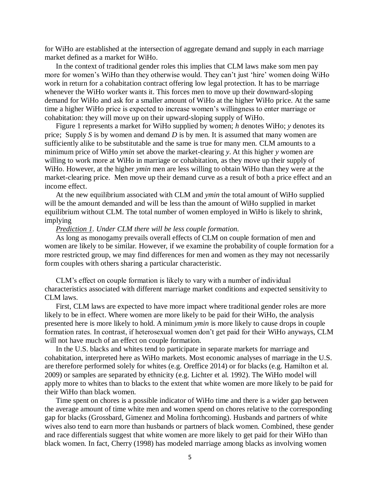for WiHo are established at the intersection of aggregate demand and supply in each marriage market defined as a market for WiHo.

In the context of traditional gender roles this implies that CLM laws make som men pay more for women's WiHo than they otherwise would. They can't just 'hire' women doing WiHo work in return for a cohabitation contract offering low legal protection. It has to be marriage whenever the WiHo worker wants it. This forces men to move up their downward-sloping demand for WiHo and ask for a smaller amount of WiHo at the higher WiHo price. At the same time a higher WiHo price is expected to increase women's willingness to enter marriage or cohabitation: they will move up on their upward-sloping supply of WiHo.

Figure 1 represents a market for WiHo supplied by women; *h* denotes WiHo; *y* denotes its price; Supply *S* is by women and demand *D* is by men. It is assumed that many women are sufficiently alike to be substitutable and the same is true for many men. CLM amounts to a minimum price of WiHo *ymin* set above the market-clearing *y*. At this higher *y* women are willing to work more at WiHo in marriage or cohabitation, as they move up their supply of WiHo. However, at the higher *ymin* men are less willing to obtain WiHo than they were at the market-clearing price. Men move up their demand curve as a result of both a price effect and an income effect.

At the new equilibrium associated with CLM and *ymin* the total amount of WiHo supplied will be the amount demanded and will be less than the amount of WiHo supplied in market equilibrium without CLM. The total number of women employed in WiHo is likely to shrink, implying

#### *Prediction 1. Under CLM there will be less couple formation.*

As long as monogamy prevails overall effects of CLM on couple formation of men and women are likely to be similar. However, if we examine the probability of couple formation for a more restricted group, we may find differences for men and women as they may not necessarily form couples with others sharing a particular characteristic.

CLM's effect on couple formation is likely to vary with a number of individual characteristics associated with different marriage market conditions and expected sensitivity to CLM laws.

First, CLM laws are expected to have more impact where traditional gender roles are more likely to be in effect. Where women are more likely to be paid for their WiHo, the analysis presented here is more likely to hold. A minimum *ymin* is more likely to cause drops in couple formation rates. In contrast, if heterosexual women don't get paid for their WiHo anyways, CLM will not have much of an effect on couple formation.

In the U.S. blacks and whites tend to participate in separate markets for marriage and cohabitation, interpreted here as WiHo markets. Most economic analyses of marriage in the U.S. are therefore performed solely for whites (e.g. Oreffice 2014) or for blacks (e.g. Hamilton et al. 2009) or samples are separated by ethnicity (e.g. Lichter et al. 1992). The WiHo model will apply more to whites than to blacks to the extent that white women are more likely to be paid for their WiHo than black women.

Time spent on chores is a possible indicator of WiHo time and there is a wider gap between the average amount of time white men and women spend on chores relative to the corresponding gap for blacks (Grossbard, Gimenez and Molina forthcoming). Husbands and partners of white wives also tend to earn more than husbands or partners of black women. Combined, these gender and race differentials suggest that white women are more likely to get paid for their WiHo than black women. In fact, Cherry (1998) has modeled marriage among blacks as involving women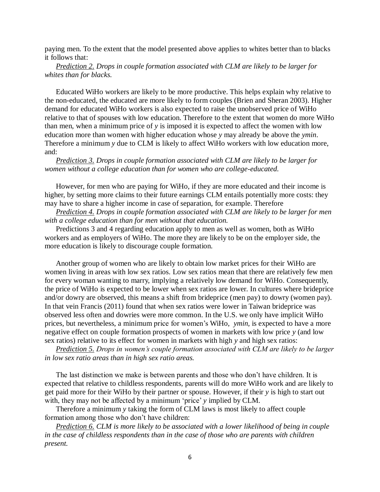paying men. To the extent that the model presented above applies to whites better than to blacks it follows that:

*Prediction 2. Drops in couple formation associated with CLM are likely to be larger for whites than for blacks.* 

Educated WiHo workers are likely to be more productive. This helps explain why relative to the non-educated, the educated are more likely to form couples (Brien and Sheran 2003). Higher demand for educated WiHo workers is also expected to raise the unobserved price of WiHo relative to that of spouses with low education. Therefore to the extent that women do more WiHo than men, when a minimum price of *y* is imposed it is expected to affect the women with low education more than women with higher education whose *y* may already be above the *ymin*. Therefore a minimum *y* due to CLM is likely to affect WiHo workers with low education more, and:

*Prediction 3. Drops in couple formation associated with CLM are likely to be larger for women without a college education than for women who are college-educated.*

However, for men who are paying for WiHo, if they are more educated and their income is higher, by setting more claims to their future earnings CLM entails potentially more costs: they may have to share a higher income in case of separation, for example. Therefore

*Prediction 4. Drops in couple formation associated with CLM are likely to be larger for men with a college education than for men without that education.*

Predictions 3 and 4 regarding education apply to men as well as women, both as WiHo workers and as employers of WiHo. The more they are likely to be on the employer side, the more education is likely to discourage couple formation.

Another group of women who are likely to obtain low market prices for their WiHo are women living in areas with low sex ratios. Low sex ratios mean that there are relatively few men for every woman wanting to marry, implying a relatively low demand for WiHo. Consequently, the price of WiHo is expected to be lower when sex ratios are lower. In cultures where brideprice and/or dowry are observed, this means a shift from brideprice (men pay) to dowry (women pay). In that vein Francis (2011) found that when sex ratios were lower in Taiwan brideprice was observed less often and dowries were more common. In the U.S. we only have implicit WiHo prices, but nevertheless, a minimum price for women's WiHo, *ymin,* is expected to have a more negative effect on couple formation prospects of women in markets with low price *y* (and low sex ratios) relative to its effect for women in markets with high *y* and high sex ratios:

*Prediction 5. Drops in women's couple formation associated with CLM are likely to be larger in low sex ratio areas than in high sex ratio areas.*

The last distinction we make is between parents and those who don't have children. It is expected that relative to childless respondents, parents will do more WiHo work and are likely to get paid more for their WiHo by their partner or spouse. However, if their *y* is high to start out with, they may not be affected by a minimum 'price' *y* implied by CLM.

Therefore a minimum *y* taking the form of CLM laws is most likely to affect couple formation among those who don't have children:

*Prediction 6. CLM is more likely to be associated with a lower likelihood of being in couple in the case of childless respondents than in the case of those who are parents with children present.*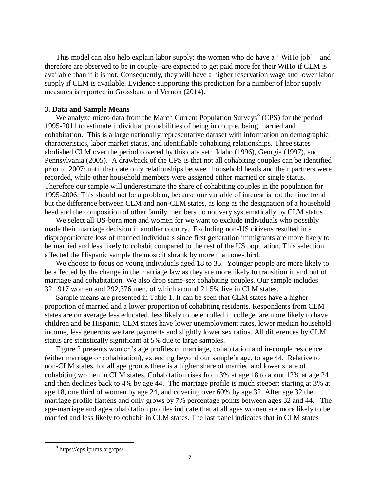This model can also help explain labor supply: the women who do have a ' WiHo job'—and therefore are observed to be in couple--are expected to get paid more for their WiHo if CLM is available than if it is not. Consequently, they will have a higher reservation wage and lower labor supply if CLM is available. Evidence supporting this prediction for a number of labor supply measures is reported in Grossbard and Vernon (2014).

#### **3. Data and Sample Means**

We analyze micro data from the March Current Population Surveys<sup>8</sup> (CPS) for the period 1995-2011 to estimate individual probabilities of being in couple, being married and cohabitation. This is a large nationally representative dataset with information on demographic characteristics, labor market status, and identifiable cohabiting relationships. Three states abolished CLM over the period covered by this data set: Idaho (1996), Georgia (1997), and Pennsylvania (2005). A drawback of the CPS is that not all cohabiting couples can be identified prior to 2007: until that date only relationships between household heads and their partners were recorded, while other household members were assigned either married or single status. Therefore our sample will underestimate the share of cohabiting couples in the population for 1995-2006. This should not be a problem, because our variable of interest is not the time trend but the difference between CLM and non-CLM states, as long as the designation of a household head and the composition of other family members do not vary systematically by CLM status.

We select all US-born men and women for we want to exclude individuals who possibly made their marriage decision in another country. Excluding non-US citizens resulted in a disproportionate loss of married individuals since first generation immigrants are more likely to be married and less likely to cohabit compared to the rest of the US population. This selection affected the Hispanic sample the most: it shrank by more than one-third.

We choose to focus on young individuals aged 18 to 35. Younger people are more likely to be affected by the change in the marriage law as they are more likely to transition in and out of marriage and cohabitation. We also drop same-sex cohabiting couples. Our sample includes 321,917 women and 292,376 men, of which around 21.5% live in CLM states.

Sample means are presented in Table 1. It can be seen that CLM states have a higher proportion of married and a lower proportion of cohabiting residents. Respondents from CLM states are on average less educated, less likely to be enrolled in college, are more likely to have children and be Hispanic. CLM states have lower unemployment rates, lower median household income, less generous welfare payments and slightly lower sex ratios. All differences by CLM status are statistically significant at 5% due to large samples.

Figure 2 presents women's age profiles of marriage, cohabitation and in-couple residence (either marriage or cohabitation), extending beyond our sample's age, to age 44. Relative to non-CLM states, for all age groups there is a higher share of married and lower share of cohabiting women in CLM states. Cohabitation rises from 3% at age 18 to about 12% at age 24 and then declines back to 4% by age 44. The marriage profile is much steeper: starting at 3% at age 18, one third of women by age 24, and covering over 60% by age 32. After age 32 the marriage profile flattens and only grows by 7% percentage points between ages 32 and 44. The age-marriage and age-cohabitation profiles indicate that at all ages women are more likely to be married and less likely to cohabit in CLM states. The last panel indicates that in CLM states

 $\overline{a}$ 

<sup>8</sup> https://cps.ipums.org/cps/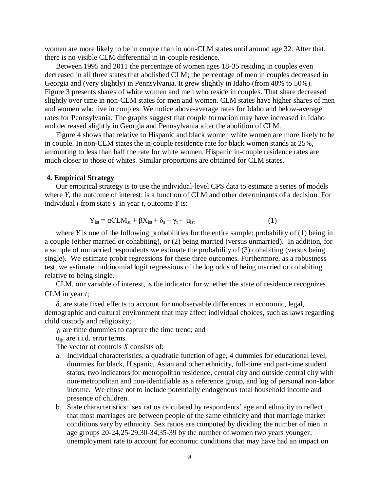women are more likely to be in couple than in non-CLM states until around age 32. After that, there is no visible CLM differential in in-couple residence.

Between 1995 and 2011 the percentage of women ages 18-35 residing in couples even decreased in all three states that abolished CLM; the percentage of men in couples decreased in Georgia and (very slightly) in Pennsylvania. It grew slightly in Idaho (from 48% to 50%). Figure 3 presents shares of white women and men who reside in couples. That share decreased slightly over time in non-CLM states for men and women. CLM states have higher shares of men and women who live in couples. We notice above-average rates for Idaho and below-average rates for Pennsylvania. The graphs suggest that couple formation may have increased in Idaho and decreased slightly in Georgia and Pennsylvania after the abolition of CLM.

Figure 4 shows that relative to Hispanic and black women white women are more likely to be in couple. In non-CLM states the in-couple residence rate for black women stands at 25%, amounting to less than half the rate for white women. Hispanic in-couple residence rates are much closer to those of whites. Similar proportions are obtained for CLM states.

#### **4. Empirical Strategy**

Our empirical strategy is to use the individual-level CPS data to estimate a series of models where *Y*, the outcome of interest, is a function of CLM and other determinants of a decision. For individual *i* from state *s* in year *t*, outcome *Y* is:

$$
Y_{\text{ist}} = \alpha CLM_{\text{st}} + \beta X_{\text{ist}} + \delta_{\text{s}} + \gamma_{\text{t}} + u_{\text{ist}} \tag{1}
$$

where *Y* is one of the following probabilities for the entire sample: probability of (1) being in a couple (either married or cohabiting), or (2) being married (versus unmarried). In addition, for a sample of unmarried respondents we estimate the probability of (3) cohabiting (versus being single). We estimate probit regressions for these three outcomes. Furthermore, as a robustness test, we estimate multinomial logit regressions of the log odds of being married or cohabiting relative to being single.

CLM, our variable of interest, is the indicator for whether the state of residence recognizes CLM in year *t*;

 $\delta_s$  are state fixed effects to account for unobservable differences in economic, legal, demographic and cultural environment that may affect individual choices, such as laws regarding child custody and religiosity;

 $\gamma_t$  are time dummies to capture the time trend; and

u<sub>ijt</sub> are i.i.d. error terms.

The vector of controls *X* consists of:

- a. Individual characteristics: a quadratic function of age, 4 dummies for educational level, dummies for black, Hispanic, Asian and other ethnicity, full-time and part-time student status, two indicators for metropolitan residence, central city and outside central city with non-metropolitan and non-identifiable as a reference group, and log of personal non-labor income. We chose not to include potentially endogenous total household income and presence of children.
- b. State characteristics: sex ratios calculated by respondents' age and ethnicity to reflect that most marriages are between people of the same ethnicity and that marriage market conditions vary by ethnicity. Sex ratios are computed by dividing the number of men in age groups 20-24,25-29,30-34,35-39 by the number of women two years younger; unemployment rate to account for economic conditions that may have had an impact on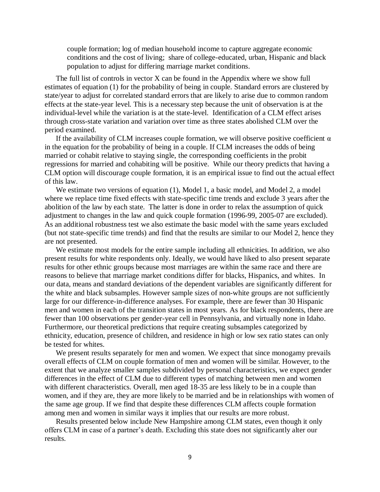couple formation; log of median household income to capture aggregate economic conditions and the cost of living; share of college-educated, urban, Hispanic and black population to adjust for differing marriage market conditions.

The full list of controls in vector X can be found in the Appendix where we show full estimates of equation (1) for the probability of being in couple. Standard errors are clustered by state/year to adjust for correlated standard errors that are likely to arise due to common random effects at the state-year level. This is a necessary step because the unit of observation is at the individual-level while the variation is at the state-level. Identification of a CLM effect arises through cross-state variation and variation over time as three states abolished CLM over the period examined.

If the availability of CLM increases couple formation, we will observe positive coefficient  $\alpha$ in the equation for the probability of being in a couple. If CLM increases the odds of being married or cohabit relative to staying single, the corresponding coefficients in the probit regressions for married and cohabiting will be positive. While our theory predicts that having a CLM option will discourage couple formation, it is an empirical issue to find out the actual effect of this law.

We estimate two versions of equation (1), Model 1, a basic model, and Model 2, a model where we replace time fixed effects with state-specific time trends and exclude 3 years after the abolition of the law by each state. The latter is done in order to relax the assumption of quick adjustment to changes in the law and quick couple formation (1996-99, 2005-07 are excluded). As an additional robustness test we also estimate the basic model with the same years excluded (but not state-specific time trends) and find that the results are similar to our Model 2, hence they are not presented.

We estimate most models for the entire sample including all ethnicities. In addition, we also present results for white respondents only. Ideally, we would have liked to also present separate results for other ethnic groups because most marriages are within the same race and there are reasons to believe that marriage market conditions differ for blacks, Hispanics, and whites. In our data, means and standard deviations of the dependent variables are significantly different for the white and black subsamples. However sample sizes of non-white groups are not sufficiently large for our difference-in-difference analyses. For example, there are fewer than 30 Hispanic men and women in each of the transition states in most years. As for black respondents, there are fewer than 100 observations per gender-year cell in Pennsylvania, and virtually none in Idaho. Furthermore, our theoretical predictions that require creating subsamples categorized by ethnicity, education, presence of children, and residence in high or low sex ratio states can only be tested for whites.

We present results separately for men and women. We expect that since monogamy prevails overall effects of CLM on couple formation of men and women will be similar. However, to the extent that we analyze smaller samples subdivided by personal characteristics, we expect gender differences in the effect of CLM due to different types of matching between men and women with different characteristics. Overall, men aged 18-35 are less likely to be in a couple than women, and if they are, they are more likely to be married and be in relationships with women of the same age group. If we find that despite these differences CLM affects couple formation among men and women in similar ways it implies that our results are more robust.

Results presented below include New Hampshire among CLM states, even though it only offers CLM in case of a partner's death. Excluding this state does not significantly alter our results.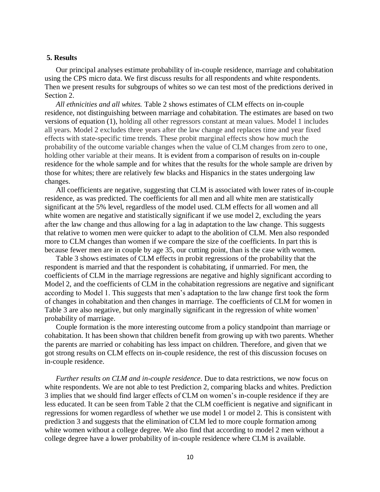#### **5. Results**

Our principal analyses estimate probability of in-couple residence, marriage and cohabitation using the CPS micro data. We first discuss results for all respondents and white respondents. Then we present results for subgroups of whites so we can test most of the predictions derived in Section 2.

*All ethnicities and all whites.* Table 2 shows estimates of CLM effects on in-couple residence, not distinguishing between marriage and cohabitation. The estimates are based on two versions of equation (1), holding all other regressors constant at mean values. Model 1 includes all years. Model 2 excludes three years after the law change and replaces time and year fixed effects with state-specific time trends. These probit marginal effects show how much the probability of the outcome variable changes when the value of CLM changes from zero to one, holding other variable at their means. It is evident from a comparison of results on in-couple residence for the whole sample and for whites that the results for the whole sample are driven by those for whites; there are relatively few blacks and Hispanics in the states undergoing law changes.

All coefficients are negative, suggesting that CLM is associated with lower rates of in-couple residence, as was predicted. The coefficients for all men and all white men are statistically significant at the 5% level, regardless of the model used. CLM effects for all women and all white women are negative and statistically significant if we use model 2, excluding the years after the law change and thus allowing for a lag in adaptation to the law change. This suggests that relative to women men were quicker to adapt to the abolition of CLM. Men also responded more to CLM changes than women if we compare the size of the coefficients. In part this is because fewer men are in couple by age 35, our cutting point, than is the case with women.

Table 3 shows estimates of CLM effects in probit regressions of the probability that the respondent is married and that the respondent is cohabitating, if unmarried. For men, the coefficients of CLM in the marriage regressions are negative and highly significant according to Model 2, and the coefficients of CLM in the cohabitation regressions are negative and significant according to Model 1. This suggests that men's adaptation to the law change first took the form of changes in cohabitation and then changes in marriage. The coefficients of CLM for women in Table 3 are also negative, but only marginally significant in the regression of white women' probability of marriage.

Couple formation is the more interesting outcome from a policy standpoint than marriage or cohabitation. It has been shown that children benefit from growing up with two parents. Whether the parents are married or cohabiting has less impact on children. Therefore, and given that we got strong results on CLM effects on in-couple residence, the rest of this discussion focuses on in-couple residence.

*Further results on CLM and in-couple residence*. Due to data restrictions, we now focus on white respondents. We are not able to test Prediction 2, comparing blacks and whites. Prediction 3 implies that we should find larger effects of CLM on women's in-couple residence if they are less educated. It can be seen from Table 2 that the CLM coefficient is negative and significant in regressions for women regardless of whether we use model 1 or model 2. This is consistent with prediction 3 and suggests that the elimination of CLM led to more couple formation among white women without a college degree. We also find that according to model 2 men without a college degree have a lower probability of in-couple residence where CLM is available.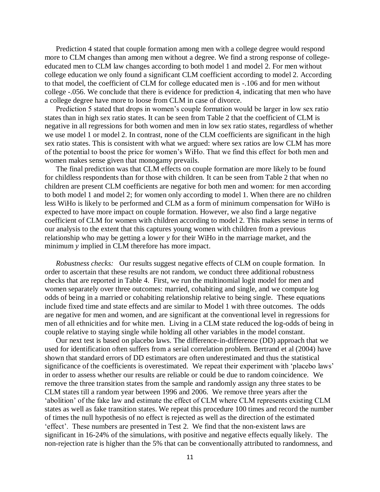Prediction 4 stated that couple formation among men with a college degree would respond more to CLM changes than among men without a degree. We find a strong response of collegeeducated men to CLM law changes according to both model 1 and model 2. For men without college education we only found a significant CLM coefficient according to model 2. According to that model, the coefficient of CLM for college educated men is -.106 and for men without college -.056. We conclude that there is evidence for prediction 4, indicating that men who have a college degree have more to loose from CLM in case of divorce.

Prediction 5 stated that drops in women's couple formation would be larger in low sex ratio states than in high sex ratio states. It can be seen from Table 2 that the coefficient of CLM is negative in all regressions for both women and men in low sex ratio states, regardless of whether we use model 1 or model 2. In contrast, none of the CLM coefficients are significant in the high sex ratio states. This is consistent with what we argued: where sex ratios are low CLM has more of the potential to boost the price for women's WiHo. That we find this effect for both men and women makes sense given that monogamy prevails.

The final prediction was that CLM effects on couple formation are more likely to be found for childless respondents than for those with children. It can be seen from Table 2 that when no children are present CLM coefficients are negative for both men and women: for men according to both model 1 and model 2; for women only according to model 1. When there are no children less WiHo is likely to be performed and CLM as a form of minimum compensation for WiHo is expected to have more impact on couple formation. However, we also find a large negative coefficient of CLM for women with children according to model 2. This makes sense in terms of our analysis to the extent that this captures young women with children from a previous relationship who may be getting a lower *y* for their WiHo in the marriage market, and the minimum *y* implied in CLM therefore has more impact.

*Robustness checks:* Our results suggest negative effects of CLM on couple formation. In order to ascertain that these results are not random, we conduct three additional robustness checks that are reported in Table 4. First, we run the multinomial logit model for men and women separately over three outcomes: married, cohabiting and single, and we compute log odds of being in a married or cohabiting relationship relative to being single. These equations include fixed time and state effects and are similar to Model 1 with three outcomes. The odds are negative for men and women, and are significant at the conventional level in regressions for men of all ethnicities and for white men. Living in a CLM state reduced the log-odds of being in couple relative to staying single while holding all other variables in the model constant.

Our next test is based on placebo laws. The difference-in-difference (DD) approach that we used for identification often suffers from a serial correlation problem. Bertrand et al (2004) have shown that standard errors of DD estimators are often underestimated and thus the statistical significance of the coefficients is overestimated. We repeat their experiment with 'placebo laws' in order to assess whether our results are reliable or could be due to random coincidence. We remove the three transition states from the sample and randomly assign any three states to be CLM states till a random year between 1996 and 2006. We remove three years after the 'abolition' of the fake law and estimate the effect of CLM where CLM represents existing CLM states as well as fake transition states. We repeat this procedure 100 times and record the number of times the null hypothesis of no effect is rejected as well as the direction of the estimated 'effect'. These numbers are presented in Test 2. We find that the non-existent laws are significant in 16-24% of the simulations, with positive and negative effects equally likely. The non-rejection rate is higher than the 5% that can be conventionally attributed to randomness, and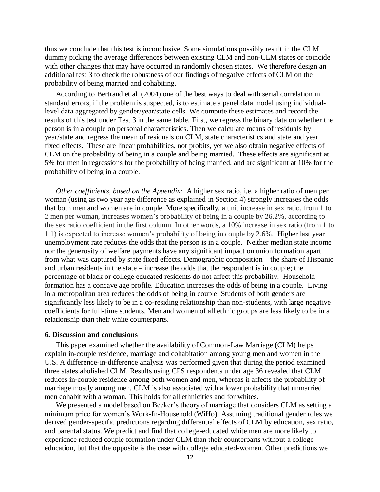thus we conclude that this test is inconclusive. Some simulations possibly result in the CLM dummy picking the average differences between existing CLM and non-CLM states or coincide with other changes that may have occurred in randomly chosen states. We therefore design an additional test 3 to check the robustness of our findings of negative effects of CLM on the probability of being married and cohabiting.

According to Bertrand et al. (2004) one of the best ways to deal with serial correlation in standard errors, if the problem is suspected, is to estimate a panel data model using individuallevel data aggregated by gender/year/state cells. We compute these estimates and record the results of this test under Test 3 in the same table. First, we regress the binary data on whether the person is in a couple on personal characteristics. Then we calculate means of residuals by year/state and regress the mean of residuals on CLM, state characteristics and state and year fixed effects. These are linear probabilities, not probits, yet we also obtain negative effects of CLM on the probability of being in a couple and being married. These effects are significant at 5% for men in regressions for the probability of being married, and are significant at 10% for the probability of being in a couple.

*Other coefficients, based on the Appendix:* A higher sex ratio, i.e. a higher ratio of men per woman (using as two year age difference as explained in Section 4) strongly increases the odds that both men and women are in couple. More specifically, a unit increase in sex ratio, from 1 to 2 men per woman, increases women's probability of being in a couple by 26.2%, according to the sex ratio coefficient in the first column. In other words, a 10% increase in sex ratio (from 1 to 1.1) is expected to increase women's probability of being in couple by 2.6%. Higher last year unemployment rate reduces the odds that the person is in a couple. Neither median state income nor the generosity of welfare payments have any significant impact on union formation apart from what was captured by state fixed effects. Demographic composition – the share of Hispanic and urban residents in the state – increase the odds that the respondent is in couple; the percentage of black or college educated residents do not affect this probability. Household formation has a concave age profile. Education increases the odds of being in a couple. Living in a metropolitan area reduces the odds of being in couple. Students of both genders are significantly less likely to be in a co-residing relationship than non-students, with large negative coefficients for full-time students. Men and women of all ethnic groups are less likely to be in a relationship than their white counterparts.

#### **6. Discussion and conclusions**

This paper examined whether the availability of Common-Law Marriage (CLM) helps explain in-couple residence, marriage and cohabitation among young men and women in the U.S. A difference-in-difference analysis was performed given that during the period examined three states abolished CLM. Results using CPS respondents under age 36 revealed that CLM reduces in-couple residence among both women and men, whereas it affects the probability of marriage mostly among men. CLM is also associated with a lower probability that unmarried men cohabit with a woman. This holds for all ethnicities and for whites.

We presented a model based on Becker's theory of marriage that considers CLM as setting a minimum price for women's Work-In-Household (WiHo). Assuming traditional gender roles we derived gender-specific predictions regarding differential effects of CLM by education, sex ratio, and parental status. We predict and find that college-educated white men are more likely to experience reduced couple formation under CLM than their counterparts without a college education, but that the opposite is the case with college educated-women. Other predictions we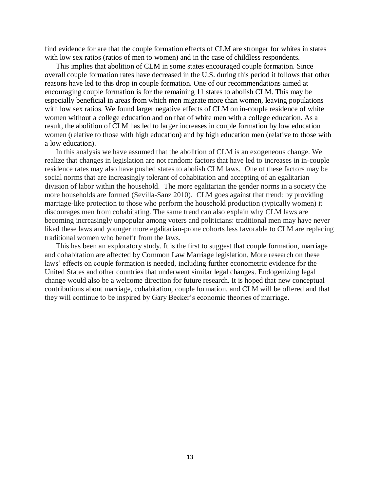find evidence for are that the couple formation effects of CLM are stronger for whites in states with low sex ratios (ratios of men to women) and in the case of childless respondents.

This implies that abolition of CLM in some states encouraged couple formation. Since overall couple formation rates have decreased in the U.S. during this period it follows that other reasons have led to this drop in couple formation. One of our recommendations aimed at encouraging couple formation is for the remaining 11 states to abolish CLM. This may be especially beneficial in areas from which men migrate more than women, leaving populations with low sex ratios. We found larger negative effects of CLM on in-couple residence of white women without a college education and on that of white men with a college education. As a result, the abolition of CLM has led to larger increases in couple formation by low education women (relative to those with high education) and by high education men (relative to those with a low education).

In this analysis we have assumed that the abolition of CLM is an exogeneous change. We realize that changes in legislation are not random: factors that have led to increases in in-couple residence rates may also have pushed states to abolish CLM laws. One of these factors may be social norms that are increasingly tolerant of cohabitation and accepting of an egalitarian division of labor within the household. The more egalitarian the gender norms in a society the more households are formed (Sevilla-Sanz 2010). CLM goes against that trend: by providing marriage-like protection to those who perform the household production (typically women) it discourages men from cohabitating. The same trend can also explain why CLM laws are becoming increasingly unpopular among voters and politicians: traditional men may have never liked these laws and younger more egalitarian-prone cohorts less favorable to CLM are replacing traditional women who benefit from the laws.

This has been an exploratory study. It is the first to suggest that couple formation, marriage and cohabitation are affected by Common Law Marriage legislation. More research on these laws' effects on couple formation is needed, including further econometric evidence for the United States and other countries that underwent similar legal changes. Endogenizing legal change would also be a welcome direction for future research. It is hoped that new conceptual contributions about marriage, cohabitation, couple formation, and CLM will be offered and that they will continue to be inspired by Gary Becker's economic theories of marriage.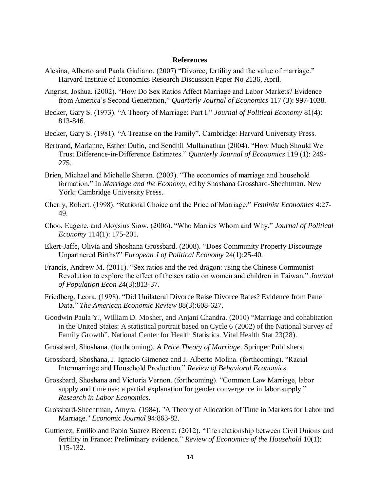#### **References**

- Alesina, Alberto and Paola Giuliano. (2007) "Divorce, fertility and the value of marriage." Harvard Institue of Economics Research Discussion Paper No 2136, April.
- Angrist, Joshua. (2002). "How Do Sex Ratios Affect Marriage and Labor Markets? Evidence from America's Second Generation," *Quarterly Journal of Economics* 117 (3): 997-1038.
- Becker, Gary S. (1973). "A Theory of Marriage: Part I." *Journal of Political Economy* 81(4): 813-846.
- Becker, Gary S. (1981). "A Treatise on the Family". Cambridge: Harvard University Press.
- Bertrand, Marianne, Esther Duflo, and Sendhil Mullainathan (2004). "How Much Should We Trust Difference-in-Difference Estimates." *Quarterly Journal of Economics* 119 (1): 249- 275.
- Brien, Michael and Michelle Sheran. (2003). "The economics of marriage and household formation." In *Marriage and the Economy*, ed by Shoshana Grossbard-Shechtman. New York: Cambridge University Press.
- Cherry, Robert. (1998). "Rational Choice and the Price of Marriage." *Feminist Economics* 4:27- 49.
- Choo, Eugene, and Aloysius Siow. (2006). "Who Marries Whom and Why." *Journal of Political Economy* 114(1): 175-201.
- Ekert-Jaffe, Olivia and Shoshana Grossbard. (2008). "Does Community Property Discourage Unpartnered Births?" *European J of Political Economy* 24(1):25-40.
- Francis, Andrew M. (2011). "Sex ratios and the red dragon: using the Chinese Communist Revolution to explore the effect of the sex ratio on women and children in Taiwan." *Journal of Population Econ* 24(3):813-37.
- Friedberg, Leora. (1998). "Did Unilateral Divorce Raise Divorce Rates? Evidence from Panel Data." *The American Economic Review* 88(3):608-627.
- Goodwin Paula Y., William D. Mosher, and Anjani Chandra. (2010) "Marriage and cohabitation in the United States: A statistical portrait based on Cycle 6 (2002) of the National Survey of Family Growth". National Center for Health Statistics. Vital Health Stat 23(28).
- Grossbard, Shoshana. (forthcoming). *A Price Theory of Marriage*. Springer Publishers.
- Grossbard, Shoshana, J. Ignacio Gimenez and J. Alberto Molina. (forthcoming). "Racial Intermarriage and Household Production." *Review of Behavioral Economics*.
- Grossbard, Shoshana and Victoria Vernon. (forthcoming). "Common Law Marriage, labor supply and time use: a partial explanation for gender convergence in labor supply." *Research in Labor Economics*.
- Grossbard-Shechtman, Amyra. (1984). "A Theory of Allocation of Time in Markets for Labor and Marriage." *Economic Journal* 94:863-82.
- Guttierez, Emilio and Pablo Suarez Becerra. (2012). "The relationship between Civil Unions and fertility in France: Preliminary evidence." *Review of Economics of the Household* 10(1): 115-132.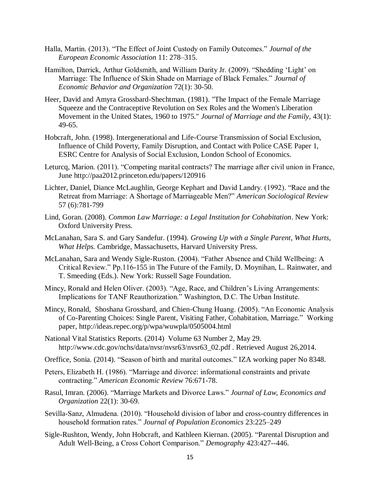- Halla, Martin. (2013). "The Effect of Joint Custody on Family Outcomes." *Journal of the European Economic Association* 11: 278–315.
- Hamilton, Darrick, Arthur Goldsmith, and William Darity Jr. (2009). "Shedding 'Light' on Marriage: The Influence of Skin Shade on Marriage of Black Females." *Journal of Economic Behavior and Organization* 72(1): 30-50.
- Heer, David and Amyra Grossbard-Shechtman. (1981). "The Impact of the Female Marriage Squeeze and the Contraceptive Revolution on Sex Roles and the Women's Liberation Movement in the United States, 1960 to 1975." *Journal of Marriage and the Family,* 43(1): 49-65.
- Hobcraft, John. (1998). Intergenerational and Life-Course Transmission of Social Exclusion, Influence of Child Poverty, Family Disruption, and Contact with Police CASE Paper 1, ESRC Centre for Analysis of Social Exclusion, London School of Economics.
- Leturcq, Marion. (2011). "Competing marital contracts? The marriage after civil union in France, June<http://paa2012.princeton.edu/papers/120916>
- Lichter, Daniel, Diance McLaughlin, George Kephart and David Landry. (1992). "Race and the Retreat from Marriage: A Shortage of Marriageable Men?" *American Sociological Review* 57 (6):781-799
- Lind, Goran. (2008). *Common Law Marriage: a Legal Institution for Cohabitation*. New York: Oxford University Press.
- McLanahan, Sara S. and Gary Sandefur. (1994). *Growing Up with a Single Parent, What Hurts, What Helps.* Cambridge, Massachusetts, Harvard University Press.
- McLanahan, Sara and Wendy Sigle-Ruston. (2004). "Father Absence and Child Wellbeing: A Critical Review." Pp.116-155 in The Future of the Family, D. Moynihan, L. Rainwater, and T. Smeeding (Eds.). New York: Russell Sage Foundation.
- Mincy, Ronald and Helen Oliver. (2003). "Age, Race, and Children's Living Arrangements: Implications for TANF Reauthorization." Washington, D.C. The Urban Institute.
- Mincy, Ronald, Shoshana Grossbard, and Chien-Chung Huang. (2005). "An Economic Analysis of Co-Parenting Choices: Single Parent, Visiting Father, Cohabitation, Marriage." Working paper,<http://ideas.repec.org/p/wpa/wuwpla/0505004.html>
- National Vital Statistics Reports. (2014) Volume 63 Number 2, May 29. [http://www.cdc.gov/nchs/data/nvsr/nvsr63/nvsr63\\_02.pdf . Retrieved August 26,2014.](http://www.cdc.gov/nchs/data/nvsr/nvsr63/nvsr63_02.pdf%20.%20Retrieved%20August%2026,2014)
- Oreffice, Sonia. (2014). "Season of birth and marital outcomes." IZA working paper No 8348.
- Peters, Elizabeth H. (1986). "Marriage and divorce: informational constraints and private contracting." *American Economic Review* 76:671-78.
- Rasul, Imran. (2006). "Marriage Markets and Divorce Laws." *Journal of Law, Economics and Organization* 22(1): 30-69.
- Sevilla-Sanz, Almudena. (2010). "Household division of labor and cross-country differences in household formation rates." *Journal of Population Economics* 23:225–249
- Sigle-Rushton, Wendy, John Hobcraft, and Kathleen Kiernan. (2005). "Parental Disruption and Adult Well-Being, a Cross Cohort Comparison." *Demography* 423:427--446.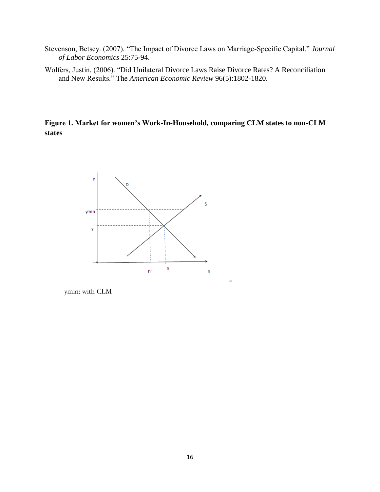- Stevenson, Betsey. (2007). "The Impact of Divorce Laws on Marriage-Specific Capital." *Journal of Labor Economics* 25:75-94.
- Wolfers, Justin. (2006). "Did Unilateral Divorce Laws Raise Divorce Rates? A Reconciliation and New Results." The *American Economic Review* 96(5):1802-1820.

**Figure 1. Market for women's Work-In-Household, comparing CLM states to non-CLM states**

 $\bar{1}4$ 



ymin: with CLM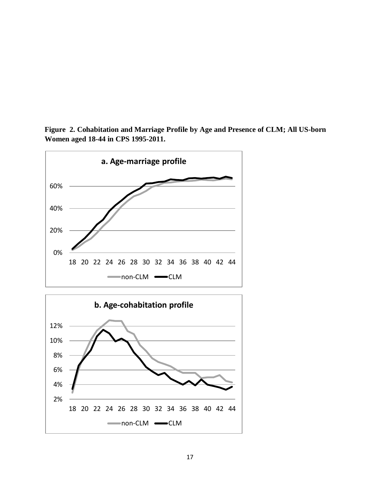



18 20 22 24 26 28 30 32 34 36 38 40 42 44

mon-CLM CLM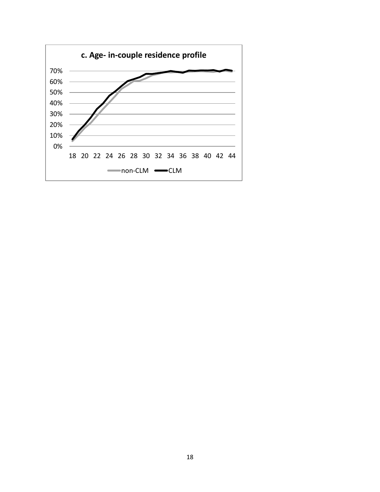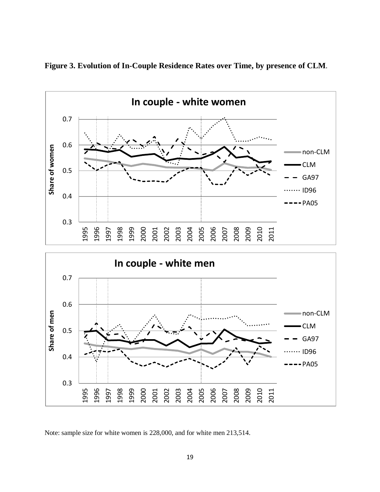

**Figure 3. Evolution of In-Couple Residence Rates over Time, by presence of CLM.**

Note: sample size for white women is 228,000, and for white men 213,514.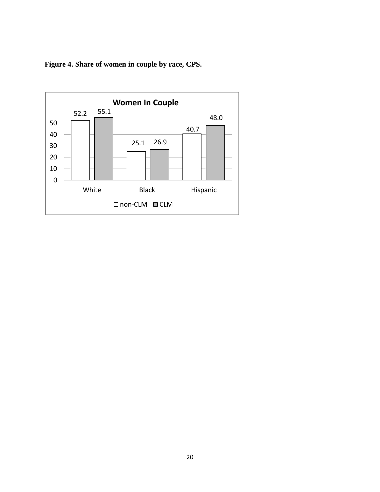**Figure 4. Share of women in couple by race, CPS.** 

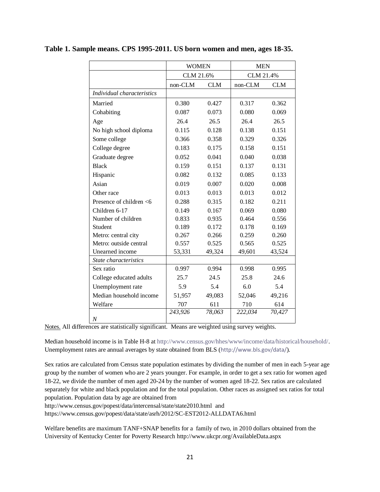|                            | <b>WOMEN</b>          |        | <b>MEN</b> |            |  |
|----------------------------|-----------------------|--------|------------|------------|--|
|                            | CLM 21.6%             |        | CLM 21.4%  |            |  |
|                            | non-CLM<br><b>CLM</b> |        | non-CLM    | <b>CLM</b> |  |
| Individual characteristics |                       |        |            |            |  |
| Married                    | 0.380                 | 0.427  | 0.317      | 0.362      |  |
| Cohabiting                 | 0.087                 | 0.073  | 0.080      | 0.069      |  |
| Age                        | 26.4                  | 26.5   | 26.4       | 26.5       |  |
| No high school diploma     | 0.115                 | 0.128  | 0.138      | 0.151      |  |
| Some college               | 0.366                 | 0.358  | 0.329      | 0.326      |  |
| College degree             | 0.183                 | 0.175  | 0.158      | 0.151      |  |
| Graduate degree            | 0.052                 | 0.041  | 0.040      | 0.038      |  |
| <b>Black</b>               | 0.159                 | 0.151  | 0.137      | 0.131      |  |
| Hispanic                   | 0.082                 | 0.132  | 0.085      | 0.133      |  |
| Asian                      | 0.019                 | 0.007  | 0.020      | 0.008      |  |
| Other race                 | 0.013                 | 0.013  | 0.013      | 0.012      |  |
| Presence of children <6    | 0.288                 | 0.315  | 0.182      | 0.211      |  |
| Children 6-17              | 0.149                 | 0.167  | 0.069      | 0.080      |  |
| Number of children         | 0.833                 | 0.935  | 0.464      | 0.556      |  |
| Student                    | 0.189                 | 0.172  | 0.178      | 0.169      |  |
| Metro: central city        | 0.267                 | 0.266  | 0.259      | 0.260      |  |
| Metro: outside central     | 0.557                 | 0.525  | 0.565      | 0.525      |  |
| Unearned income            | 53,331                | 49,324 | 49,601     | 43,524     |  |
| State characteristics      |                       |        |            |            |  |
| Sex ratio                  | 0.997                 | 0.994  | 0.998      | 0.995      |  |
| College educated adults    | 25.7                  | 24.5   | 25.8       | 24.6       |  |
| Unemployment rate          | 5.9                   | 5.4    | 6.0        | 5.4        |  |
| Median household income    | 51,957                | 49,083 | 52,046     | 49,216     |  |
| Welfare                    | 707                   | 611    | 710        | 614        |  |
|                            | 243,926               | 78,063 | 222,034    | 70,427     |  |
| $\boldsymbol{N}$           |                       |        |            |            |  |

#### **Table 1. Sample means. CPS 1995-2011. US born women and men, ages 18-35.**

Notes. All differences are statistically significant. Means are weighted using survey weights.

Median household income is in Table H-8 at [http://www.census.gov/hhes/www/income/data/historical/household/.](http://www.census.gov/hhes/www/income/data/historical/household/) Unemployment rates are annual averages by state obtained from BLS (<http://www.bls.gov/data/>).

Sex ratios are calculated from Census state population estimates by dividing the number of men in each 5-year age group by the number of women who are 2 years younger. For example, in order to get a sex ratio for women aged 18-22, we divide the number of men aged 20-24 by the number of women aged 18-22. Sex ratios are calculated separately for white and black population and for the total population. Other races as assigned sex ratios for total population. Population data by age are obtained from

<http://www.census.gov/popest/data/intercensal/state/state2010.html>and

<https://www.census.gov/popest/data/state/asrh/2012/SC-EST2012-ALLDATA6.html>

Welfare benefits are maximum TANF+SNAP benefits for a family of two, in 2010 dollars obtained from the University of Kentucky Center for Poverty Research <http://www.ukcpr.org/AvailableData.aspx>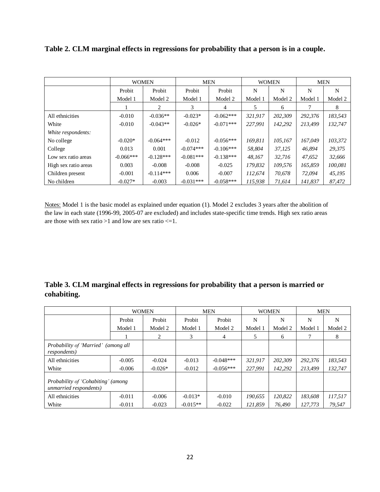|                      | <b>WOMEN</b> |             | <b>MEN</b>  |             | <b>WOMEN</b> |         | <b>MEN</b> |         |
|----------------------|--------------|-------------|-------------|-------------|--------------|---------|------------|---------|
|                      | Probit       | Probit      | Probit      | Probit      | N            | N       | N          | N       |
|                      | Model 1      | Model 2     | Model 1     | Model 2     | Model 1      | Model 2 | Model 1    | Model 2 |
|                      |              | 2           | 3           | 4           | 5            | 6       |            | 8       |
| All ethnicities      | $-0.010$     | $-0.036**$  | $-0.023*$   | $-0.062***$ | 321,917      | 202,309 | 292,376    | 183,543 |
| White                | $-0.010$     | $-0.043**$  | $-0.026*$   | $-0.071***$ | 227.991      | 142.292 | 213.499    | 132.747 |
| White respondents:   |              |             |             |             |              |         |            |         |
| No college           | $-0.020*$    | $-0.064***$ | $-0.012$    | $-0.056***$ | 169.811      | 105,167 | 167.049    | 103,372 |
| College              | 0.013        | 0.001       | $-0.074***$ | $-0.106***$ | 58.804       | 37,125  | 46.894     | 29,375  |
| Low sex ratio areas  | $-0.066***$  | $-0.128***$ | $-0.081***$ | $-0.138***$ | 48.167       | 32.716  | 47.652     | 32,666  |
| High sex ratio areas | 0.003        | $-0.008$    | $-0.008$    | $-0.025$    | 179,832      | 109,576 | 165,859    | 100,081 |
| Children present     | $-0.001$     | $-0.114***$ | 0.006       | $-0.007$    | 112,674      | 70,678  | 72.094     | 45,195  |
| No children          | $-0.027*$    | $-0.003$    | $-0.031***$ | $-0.058***$ | 115.938      | 71.614  | 141.837    | 87,472  |

**Table 2. CLM marginal effects in regressions for probability that a person is in a couple.**

Notes: Model 1 is the basic model as explained under equation (1). Model 2 excludes 3 years after the abolition of the law in each state (1996-99, 2005-07 are excluded) and includes state-specific time trends. High sex ratio areas are those with sex ratio  $>1$  and low are sex ratio  $\leq 1$ .

### **Table 3. CLM marginal effects in regressions for probability that a person is married or cohabiting.**

|                                                              | <b>WOMEN</b> |           | <b>MEN</b> |             | <b>WOMEN</b> |         | <b>MEN</b> |         |
|--------------------------------------------------------------|--------------|-----------|------------|-------------|--------------|---------|------------|---------|
|                                                              | Probit       | Probit    | Probit     | Probit      | N            | N       | N          | N       |
|                                                              | Model 1      | Model 2   | Model 1    | Model 2     | Model 1      | Model 2 | Model 1    | Model 2 |
|                                                              |              | 2         | 3          | 4           | 5            | 6       |            | 8       |
| Probability of 'Married' (among all<br><i>respondents</i> )  |              |           |            |             |              |         |            |         |
| All ethnicities                                              | $-0.005$     | $-0.024$  | $-0.013$   | $-0.048***$ | 321,917      | 202,309 | 292,376    | 183,543 |
| White                                                        | $-0.006$     | $-0.026*$ | $-0.012$   | $-0.056***$ | 227.991      | 142.292 | 213.499    | 132.747 |
| Probability of 'Cohabiting' (among<br>unmarried respondents) |              |           |            |             |              |         |            |         |
| All ethnicities                                              | $-0.011$     | $-0.006$  | $-0.013*$  | $-0.010$    | 190,655      | 120,822 | 183,608    | 117,517 |
| White                                                        | $-0.011$     | $-0.023$  | $-0.015**$ | $-0.022$    | 121,859      | 76,490  | 127.773    | 79.547  |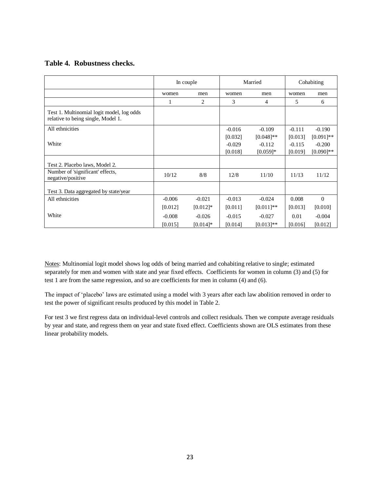#### **Table 4. Robustness checks.**

|                                                                                 | In couple |                | Married  |              | Cohabiting |              |
|---------------------------------------------------------------------------------|-----------|----------------|----------|--------------|------------|--------------|
|                                                                                 | women     | men            | women    | men          | women      | men          |
|                                                                                 |           | $\overline{c}$ | 3        | 4            | 5          | 6            |
| Test 1. Multinomial logit model, log odds<br>relative to being single, Model 1. |           |                |          |              |            |              |
| All ethnicities                                                                 |           |                | $-0.016$ | $-0.109$     | $-0.111$   | $-0.190$     |
|                                                                                 |           |                | [0.032]  | $[0.048]$ ** | [0.013]    | $[0.091]$ ** |
| White                                                                           |           |                | $-0.029$ | $-0.112$     | $-0.115$   | $-0.200$     |
|                                                                                 |           |                | [0.018]  | $[0.059]*$   | [0.019]    | $[0.090]$ ** |
| Test 2. Placebo laws, Model 2.                                                  |           |                |          |              |            |              |
| Number of 'significant' effects,<br>negative/positive                           | 10/12     | 8/8            | 12/8     | 11/10        | 11/13      | 11/12        |
| Test 3. Data aggregated by state/year                                           |           |                |          |              |            |              |
| All ethnicities                                                                 | $-0.006$  | $-0.021$       | $-0.013$ | $-0.024$     | 0.008      | $\Omega$     |
|                                                                                 | [0.012]   | $[0.012]$ *    | [0.011]  | $[0.011]$ ** | [0.013]    | [0.010]      |
| White                                                                           | $-0.008$  | $-0.026$       | $-0.015$ | $-0.027$     | 0.01       | $-0.004$     |
|                                                                                 | [0.015]   | $[0.014]$ *    | [0.014]  | $[0.013]**$  | [0.016]    | [0.012]      |

Notes: Multinomial logit model shows log odds of being married and cohabiting relative to single; estimated separately for men and women with state and year fixed effects. Coefficients for women in column (3) and (5) for test 1 are from the same regression, and so are coefficients for men in column (4) and (6).

The impact of 'placebo' laws are estimated using a model with 3 years after each law abolition removed in order to test the power of significant results produced by this model in Table 2.

For test 3 we first regress data on individual-level controls and collect residuals. Then we compute average residuals by year and state, and regress them on year and state fixed effect. Coefficients shown are OLS estimates from these linear probability models.